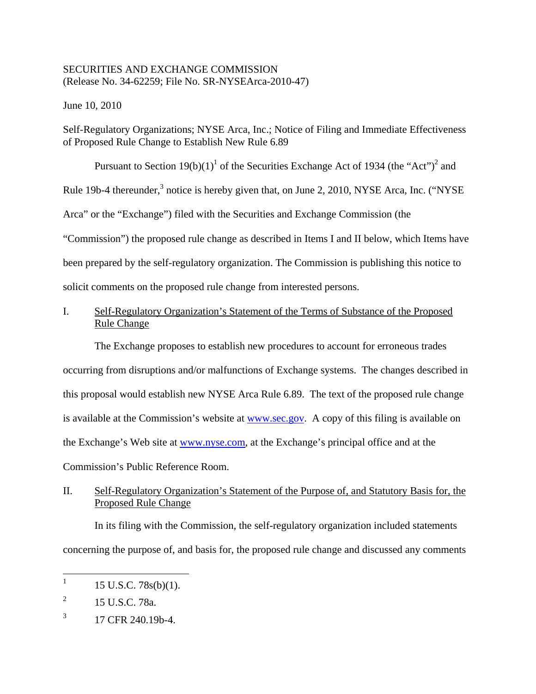# SECURITIES AND EXCHANGE COMMISSION (Release No. 34-62259; File No. SR-NYSEArca-2010-47)

June 10, 2010

Self-Regulatory Organizations; NYSE Arca, Inc.; Notice of Filing and Immediate Effectiveness of Proposed Rule Change to Establish New Rule 6.89

Pursuant to Section  $19(b)(1)^1$  of the Securities Exchange Act of 1934 (the "Act")<sup>2</sup> and Rule 19b-4 thereunder,<sup>3</sup> notice is hereby given that, on June 2, 2010, NYSE Arca, Inc. ("NYSE Arca" or the "Exchange") filed with the Securities and Exchange Commission (the "Commission") the proposed rule change as described in Items I and II below, which Items have been prepared by the self-regulatory organization. The Commission is publishing this notice to solicit comments on the proposed rule change from interested persons.

# I. Self-Regulatory Organization's Statement of the Terms of Substance of the Proposed Rule Change

The Exchange proposes to establish new procedures to account for erroneous trades occurring from disruptions and/or malfunctions of Exchange systems. The changes described in this proposal would establish new NYSE Arca Rule 6.89. The text of the proposed rule change is available at the Commission's website at www.sec.gov. A copy of this filing is available on the Exchange's Web site at www.nyse.com, at the Exchange's principal office and at the Commission's Public Reference Room.

# II. Self-Regulatory Organization's Statement of the Purpose of, and Statutory Basis for, the Proposed Rule Change

In its filing with the Commission, the self-regulatory organization included statements concerning the purpose of, and basis for, the proposed rule change and discussed any comments

 $\mathbf{1}$  $15$  U.S.C.  $78s(b)(1)$ .

<sup>&</sup>lt;sup>2</sup> 15 U.S.C. 78a.

 $3 \t17$  CFR 240.19b-4.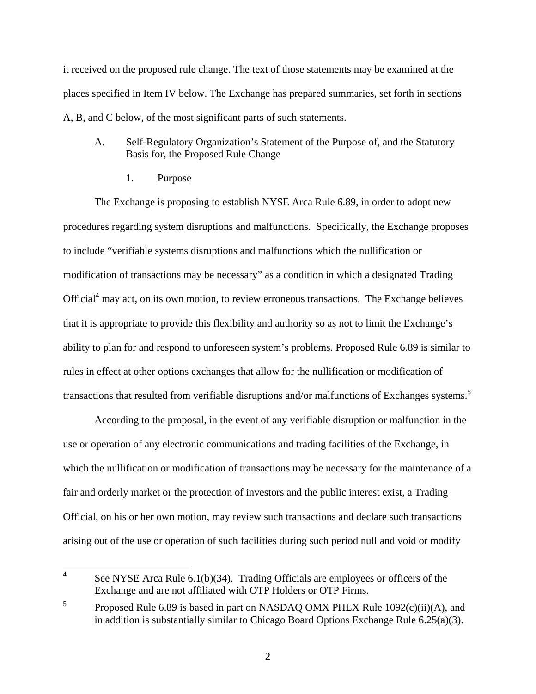it received on the proposed rule change. The text of those statements may be examined at the places specified in Item IV below. The Exchange has prepared summaries, set forth in sections A, B, and C below, of the most significant parts of such statements.

## A. Self-Regulatory Organization's Statement of the Purpose of, and the Statutory Basis for, the Proposed Rule Change

1. Purpose

The Exchange is proposing to establish NYSE Arca Rule 6.89, in order to adopt new procedures regarding system disruptions and malfunctions. Specifically, the Exchange proposes to include "verifiable systems disruptions and malfunctions which the nullification or modification of transactions may be necessary" as a condition in which a designated Trading Official<sup>4</sup> may act, on its own motion, to review erroneous transactions. The Exchange believes that it is appropriate to provide this flexibility and authority so as not to limit the Exchange's ability to plan for and respond to unforeseen system's problems. Proposed Rule 6.89 is similar to rules in effect at other options exchanges that allow for the nullification or modification of transactions that resulted from verifiable disruptions and/or malfunctions of Exchanges systems.<sup>5</sup>

According to the proposal, in the event of any verifiable disruption or malfunction in the use or operation of any electronic communications and trading facilities of the Exchange, in which the nullification or modification of transactions may be necessary for the maintenance of a fair and orderly market or the protection of investors and the public interest exist, a Trading Official, on his or her own motion, may review such transactions and declare such transactions arising out of the use or operation of such facilities during such period null and void or modify

 $\overline{a}$ See NYSE Arca Rule  $6.1(b)(34)$ . Trading Officials are employees or officers of the Exchange and are not affiliated with OTP Holders or OTP Firms.

 $\mathfrak{S}$ Proposed Rule 6.89 is based in part on NASDAQ OMX PHLX Rule  $1092(c)(ii)(A)$ , and in addition is substantially similar to Chicago Board Options Exchange Rule 6.25(a)(3).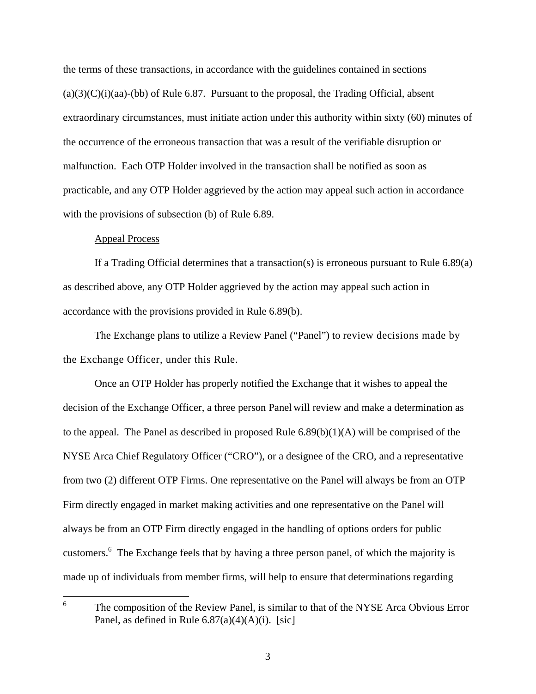malfunction. Each OTP Holder involved in the transaction shall be notified as soon as the terms of these transactions, in accordance with the guidelines contained in sections  $(a)(3)(C)(i)(aa)$ -(bb) of Rule 6.87. Pursuant to the proposal, the Trading Official, absent extraordinary circumstances, must initiate action under this authority within sixty (60) minutes of the occurrence of the erroneous transaction that was a result of the verifiable disruption or practicable, and any OTP Holder aggrieved by the action may appeal such action in accordance with the provisions of subsection (b) of Rule 6.89.

#### Appeal Process

 $\overline{a}$ 

If a Trading Official determines that a transaction(s) is erroneous pursuant to Rule 6.89(a) as described above, any OTP Holder aggrieved by the action may appeal such action in accordance with the provisions provided in Rule 6.89(b).

 The Exchange plans to utilize a Review Panel ("Panel") to review decisions made by the Exchange Officer, under this Rule.

Once an OTP Holder has properly notified the Exchange that it wishes to appeal the decision of the Exchange Officer, a three person Panel will review and make a determination as to the appeal. The Panel as described in proposed Rule  $6.89(b)(1)(A)$  will be comprised of the NYSE Arca Chief Regulatory Officer ("CRO"), or a designee of the CRO, and a representative from two (2) different OTP Firms. One representative on the Panel will always be from an OTP Firm directly engaged in market making activities and one representative on the Panel will always be from an OTP Firm directly engaged in the handling of options orders for public customers.<sup>6</sup> The Exchange feels that by having a three person panel, of which the majority is made up of individuals from member firms, will help to ensure that determinations regarding

 6 The composition of the Review Panel, is similar to that of the NYSE Arca Obvious Error Panel, as defined in Rule  $6.87(a)(4)(A)(i)$ . [sic]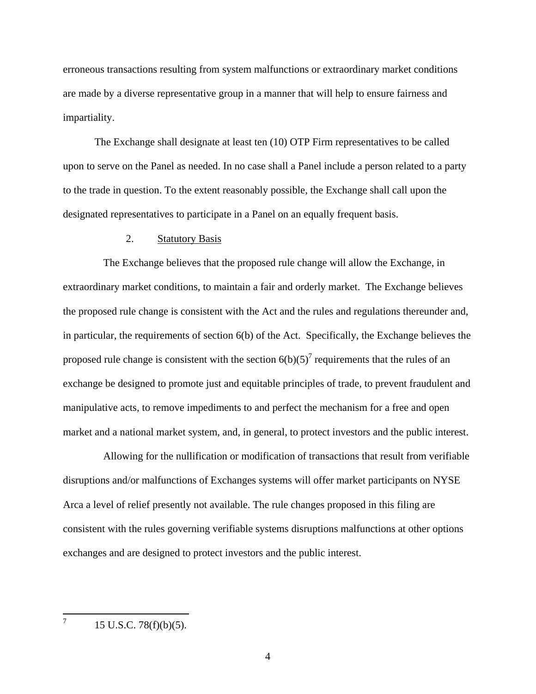impartiality. erroneous transactions resulting from system malfunctions or extraordinary market conditions are made by a diverse representative group in a manner that will help to ensure fairness and

The Exchange shall designate at least ten  $(10)$  OTP Firm representatives to be called upon to serve on the Panel as needed. In no case shall a Panel include a person related to a party to the trade in question. To the extent reasonably possible, the Exchange shall call upon the designated representatives to participate in a Panel on an equally frequent basis.

## 2. Statutory Basis

The Exchange believes that the proposed rule change will allow the Exchange, in extraordinary market conditions, to maintain a fair and orderly market. The Exchange believes the proposed rule change is consistent with the Act and the rules and regulations thereunder and, in particular, the requirements of section 6(b) of the Act. Specifically, the Exchange believes the proposed rule change is consistent with the section  $6(b)(5)^7$  requirements that the rules of an exchange be designed to promote just and equitable principles of trade, to prevent fraudulent and manipulative acts, to remove impediments to and perfect the mechanism for a free and open market and a national market system, and, in general, to protect investors and the public interest.

Allowing for the nullification or modification of transactions that result from verifiable disruptions and/or malfunctions of Exchanges systems will offer market participants on NYSE Arca a level of relief presently not available. The rule changes proposed in this filing are consistent with the rules governing verifiable systems disruptions malfunctions at other options exchanges and are designed to protect investors and the public interest.

 $\overline{a}$ 

 7 15 U.S.C. 78(f)(b)(5).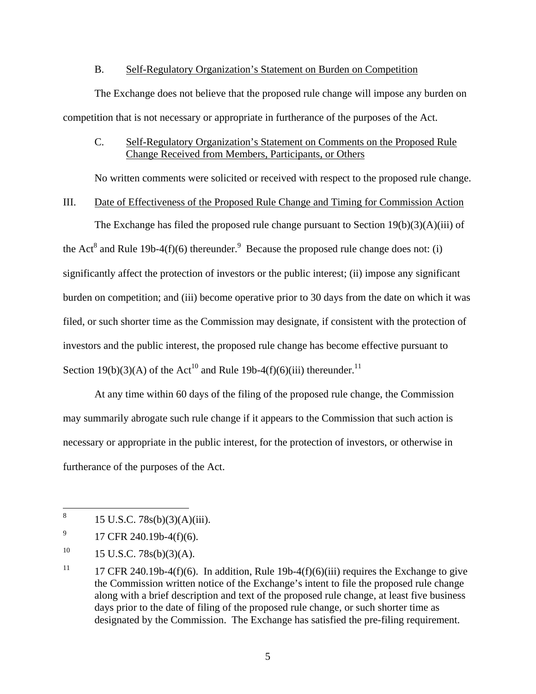#### B. Self-Regulatory Organization's Statement on Burden on Competition

The Exchange does not believe that the proposed rule change will impose any burden on competition that is not necessary or appropriate in furtherance of the purposes of the Act.

# C. Self-Regulatory Organization's Statement on Comments on the Proposed Rule Change Received from Members, Participants, or Others

No written comments were solicited or received with respect to the proposed rule change.

## III. Date of Effectiveness of the Proposed Rule Change and Timing for Commission Action

The Exchange has filed the proposed rule change pursuant to Section  $19(b)(3)(A)(iii)$  of the Act<sup>8</sup> and Rule 19b-4(f)(6) thereunder.<sup>9</sup> Because the proposed rule change does not: (i) significantly affect the protection of investors or the public interest; (ii) impose any significant burden on competition; and (iii) become operative prior to 30 days from the date on which it was filed, or such shorter time as the Commission may designate, if consistent with the protection of investors and the public interest, the proposed rule change has become effective pursuant to Section 19(b)(3)(A) of the Act<sup>10</sup> and Rule 19b-4(f)(6)(iii) thereunder.<sup>11</sup>

At any time within 60 days of the filing of the proposed rule change, the Commission may summarily abrogate such rule change if it appears to the Commission that such action is necessary or appropriate in the public interest, for the protection of investors, or otherwise in furtherance of the purposes of the Act.

9 17 CFR 240.19b-4(f)(6).

1

 $10\,$  $15$  U.S.C.  $78s(b)(3)(A)$ .

<sup>15</sup> U.S.C. 78s(b)(3)(A)(iii).

<sup>11</sup> 17 CFR 240.19b-4(f)(6). In addition, Rule 19b-4(f)(6)(iii) requires the Exchange to give the Commission written notice of the Exchange's intent to file the proposed rule change along with a brief description and text of the proposed rule change, at least five business days prior to the date of filing of the proposed rule change, or such shorter time as designated by the Commission. The Exchange has satisfied the pre-filing requirement.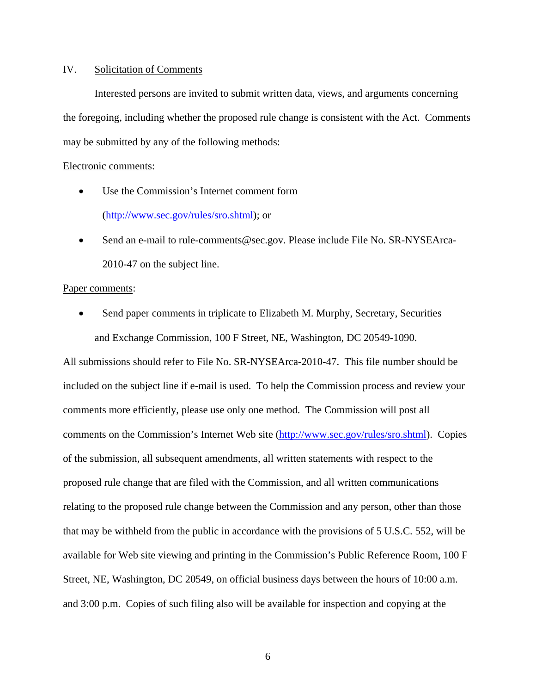## IV. Solicitation of Comments

Interested persons are invited to submit written data, views, and arguments concerning the foregoing, including whether the proposed rule change is consistent with the Act. Comments may be submitted by any of the following methods:

#### Electronic comments:

- Use the Commission's Internet comment form<br>(http://www.sec.gov/rules/sro.shtml); or
- Send an e-mail to rule-comments@sec.gov. Please include File No. SR-NYSEArca-2010-47 on the subject line.

#### Paper comments:

• Send paper comments in triplicate to Elizabeth M. Murphy, Secretary, Securities and Exchange Commission, 100 F Street, NE, Washington, DC 20549-1090.

All submissions should refer to File No. SR-NYSEArca-2010-47. This file number should be included on the subject line if e-mail is used. To help the Commission process and review your comments more efficiently, please use only one method. The Commission will post all comments on the Commission's Internet Web site (http://www.sec.gov/rules/sro.shtml). Copies of the submission, all subsequent amendments, all written statements with respect to the proposed rule change that are filed with the Commission, and all written communications relating to the proposed rule change between the Commission and any person, other than those that may be withheld from the public in accordance with the provisions of 5 U.S.C. 552, will be available for Web site viewing and printing in the Commission's Public Reference Room, 100 F Street, NE, Washington, DC 20549, on official business days between the hours of 10:00 a.m. and 3:00 p.m. Copies of such filing also will be available for inspection and copying at the